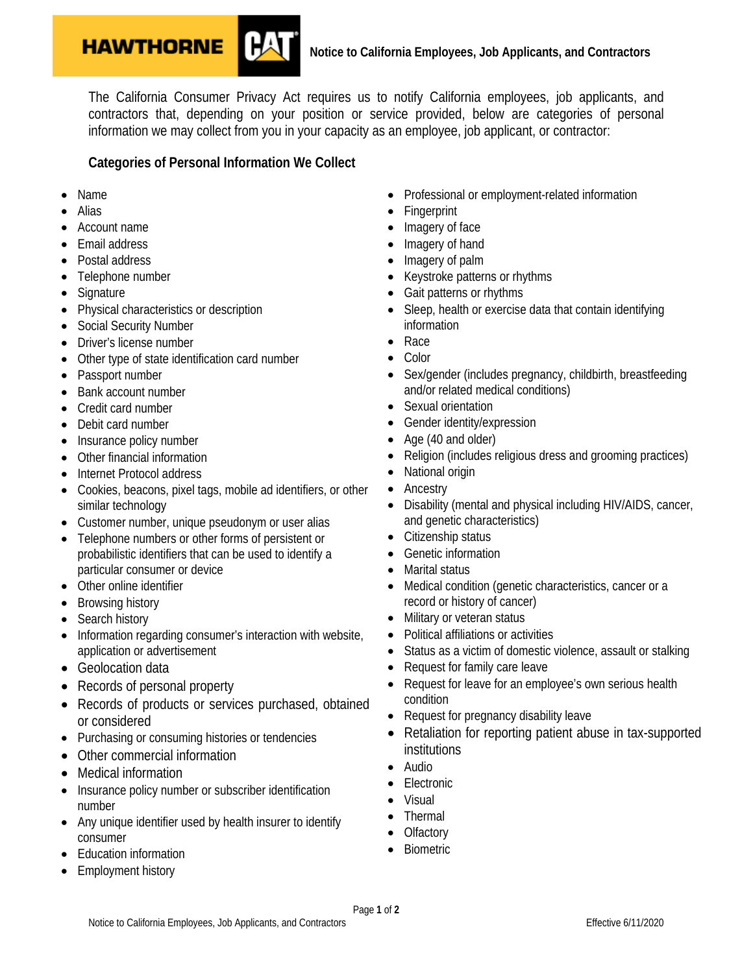

The California Consumer Privacy Act requires us to notify California employees, job applicants, and contractors that, depending on your position or service provided, below are categories of personal information we may collect from you in your capacity as an employee, job applicant, or contractor:

## **Categories of Personal Information We Collect**

- Name
- Alias
- Account name
- Email address
- Postal address
- Telephone number
- **Signature**
- Physical characteristics or description
- Social Security Number
- Driver's license number
- Other type of state identification card number
- Passport number
- Bank account number
- Credit card number
- Debit card number
- Insurance policy number
- Other financial information
- Internet Protocol address
- Cookies, beacons, pixel tags, mobile ad identifiers, or other similar technology
- Customer number, unique pseudonym or user alias
- Telephone numbers or other forms of persistent or probabilistic identifiers that can be used to identify a particular consumer or device
- Other online identifier
- Browsing history
- Search history
- Information regarding consumer's interaction with website, application or advertisement
- Geolocation data
- Records of personal property
- Records of products or services purchased, obtained or considered
- Purchasing or consuming histories or tendencies
- Other commercial information
- Medical information
- Insurance policy number or subscriber identification number
- Any unique identifier used by health insurer to identify consumer
- Education information
- Employment history
- Professional or employment-related information
- Fingerprint
- Imagery of face
- Imagery of hand
- Imagery of palm
- Keystroke patterns or rhythms
- Gait patterns or rhythms
- Sleep, health or exercise data that contain identifying information
- Race
- Color
- Sex/gender (includes pregnancy, childbirth, breastfeeding and/or related medical conditions)
- Sexual orientation
- Gender identity/expression
- Age (40 and older)
- Religion (includes religious dress and grooming practices)
- National origin
- Ancestry
- Disability (mental and physical including HIV/AIDS, cancer, and genetic characteristics)
- Citizenship status
- Genetic information
- Marital status
- Medical condition (genetic characteristics, cancer or a record or history of cancer)
- Military or veteran status
- Political affiliations or activities
- Status as a victim of domestic violence, assault or stalking
- Request for family care leave
- Request for leave for an employee's own serious health condition
- Request for pregnancy disability leave
- Retaliation for reporting patient abuse in tax-supported institutions
- Audio
- Electronic
- Visual
- Thermal
- **Olfactory**
- **Biometric**